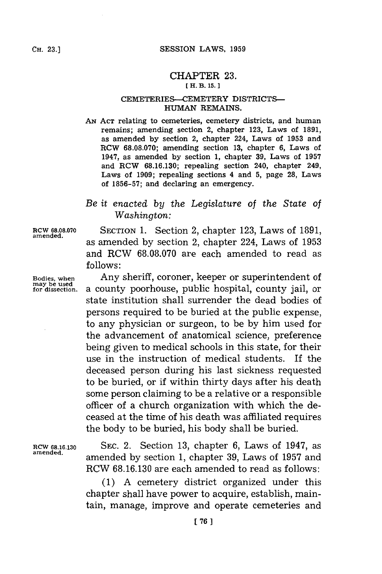## CHAPTER **23. [ H. B. 15.** ]

## CEMETERIES--CEMETERY DISTRICTS-**HUMAN** REMAINS.

AN **ACT** relating to cemeteries, cemetery districts, and human remains; amending section 2, chapter **123,** Laws of **1891,** as amended **by** section 2, chapter 224, Laws of **1953** and RCW **68.08.070;** amending section **13,** chapter **6,** Laws of 1947, as amended **by** section **1,** chapter **39,** Laws of **1957** and RCW **68.16.130;** repealing section 240, chapter 249, Laws of **1909;** repealing sections 4 and **5,** page **28,** Laws of **1856-57;** and declaring an emergency.

## *Be it enacted by the Legislature* of *the State of Washington:*

Bodies, when<br>may be used<br>for dissection.

**RCW 68.08.070** SECTION **1.** Section 2, chapter **123,** Laws of **1891, amended.** as amended **by** section 2, chapter 224, Laws of **1953** and RCW **68.08.070** are each amended to read as **follows:**

Any sheriff, coroner, keeper or superintendent of **for dissection,** a county poorhouse, public hospital, county jail, or state institution shall surrender the dead bodies of persons required to be buried at the public expense, to any physician or surgeon, to be **by** him used for the advancement of anatomical science, preference being given to medical schools in this state, for their use in the instruction of medical students. If the deceased person during his last sickness requested to be buried, or if within thirty days after his death some person claiming to be a relative or a responsible officer of a church organization with which the deceased at the time of his death was affiliated requires the body to be buried, his body shall be buried.

**RCW 68.16.130 SEC.** 2. Section **13,** chapter **6,** Laws of 1947, as **amended,** amended **by** section **1,** chapter **39,** Laws of **1957** and RCW **68.16.130** are each amended to read as follows:

> **(1) A** cemetery district organized under this chapter shall have power to acquire, establish, maintain, manage, improve and operate cemeteries and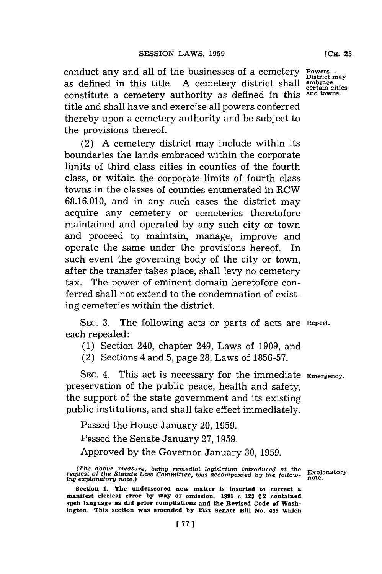conduct any and all of the businesses of a cemetery as defined in this title. **A** cemetery district shall **embrace** constitute a cemetery authority as defined in this and towns. title and shall have and exercise all powers conferred thereby upon a cemetery authority and be subject to the provisions thereof.

(2) **A** cemetery district may include within its boundaries the lands embraced within the corporate limits of third class cities in counties of the fourth class, or within the corporate limits of fourth class towns in the classes of counties enumerated in RCW **68.16.010,** and in any such cases the district may acquire any cemetery or cemeteries theretofore maintained and operated **by** any such city or town and proceed to maintain, manage, improve and operate the same under the provisions hereof. In such event the governing body of the city or town, after the transfer takes place, shall levy no cemetery tax. The power of eminent domain heretofore conferred shall not extend to the condemnation of existing cemeteries within the district.

**SEC. 3.** The following acts or parts of acts are **Repeal.** each repealed:

**(1)** Section 240, chapter 249, Laws of **1909,** and

(2) Sections 4 and **5,** page **28,** Laws of **1856-57.**

**SEC.** 4. This act is necessary for the immediate **Emergency.** preservation of the public peace, health and safety, the support of the state government and its existing public institutions, and shall take effect immediately.

Passed the House January 20, **1959.**

Passed the Senate January 27, 1959.

Approved **by** the Governor January **30, 1959.**

**District may**

*<sup>(</sup>The above measure, being remedial legislation introduced at the Explanatory*<br>*request of the Statute Law Committee, was accompanied by the follow- note.*<br>*ing explanatory note.)* 

Section 1. The underscored new matter is inserted to correct a **manifest clerical error by way of omission. 1891** *a* **123 §2 contained such language as did prior compilations and the Revised Code of Washington. This section was smended by 1953 Senate Bill No. 439 which**